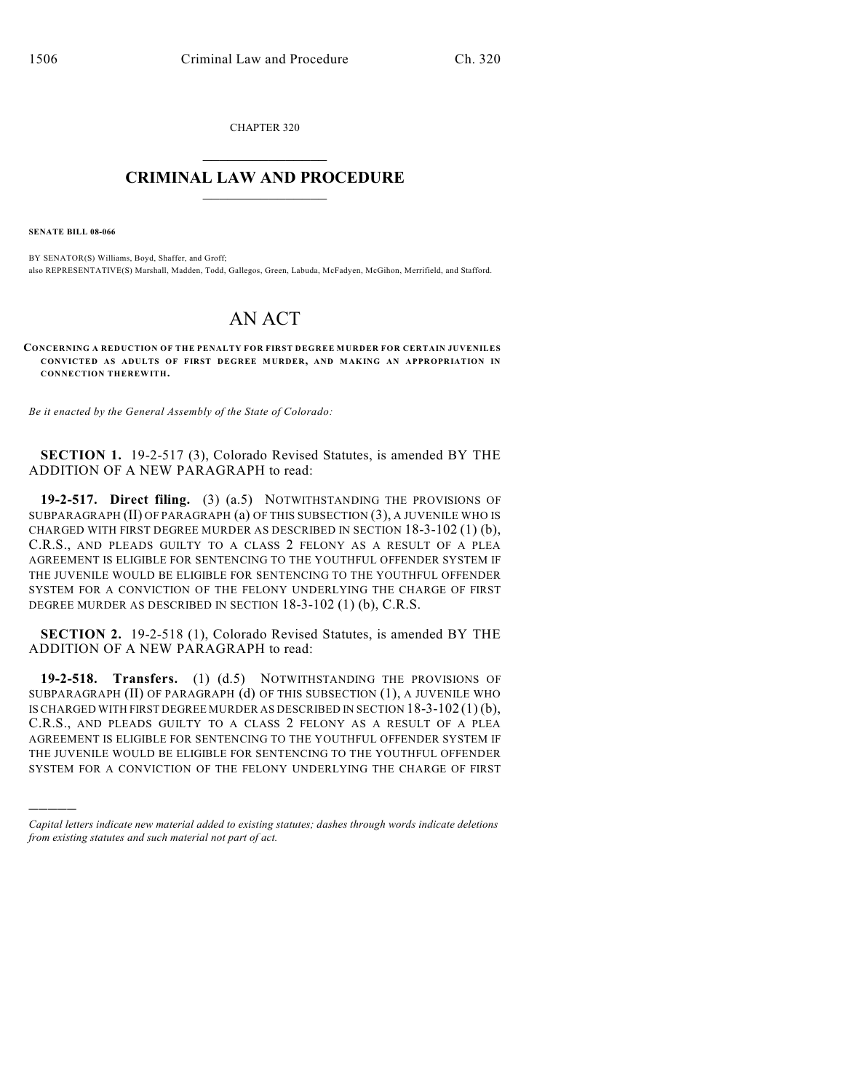CHAPTER 320  $\mathcal{L}_\text{max}$  . The set of the set of the set of the set of the set of the set of the set of the set of the set of the set of the set of the set of the set of the set of the set of the set of the set of the set of the set

## **CRIMINAL LAW AND PROCEDURE**  $\_$

**SENATE BILL 08-066**

)))))

BY SENATOR(S) Williams, Boyd, Shaffer, and Groff; also REPRESENTATIVE(S) Marshall, Madden, Todd, Gallegos, Green, Labuda, McFadyen, McGihon, Merrifield, and Stafford.

## AN ACT

**CONCERNING A REDUCTION OF THE PENALTY FOR FIRST DEGREE MURDER FOR CERTAIN JUVENILES CONVICTED AS ADULTS OF FIRST DEGREE MURDER, AND MAKING AN APPROPRIATION IN CONNECTION THEREWITH.**

*Be it enacted by the General Assembly of the State of Colorado:*

**SECTION 1.** 19-2-517 (3), Colorado Revised Statutes, is amended BY THE ADDITION OF A NEW PARAGRAPH to read:

**19-2-517. Direct filing.** (3) (a.5) NOTWITHSTANDING THE PROVISIONS OF SUBPARAGRAPH (II) OF PARAGRAPH (a) OF THIS SUBSECTION (3), A JUVENILE WHO IS CHARGED WITH FIRST DEGREE MURDER AS DESCRIBED IN SECTION 18-3-102 (1) (b), C.R.S., AND PLEADS GUILTY TO A CLASS 2 FELONY AS A RESULT OF A PLEA AGREEMENT IS ELIGIBLE FOR SENTENCING TO THE YOUTHFUL OFFENDER SYSTEM IF THE JUVENILE WOULD BE ELIGIBLE FOR SENTENCING TO THE YOUTHFUL OFFENDER SYSTEM FOR A CONVICTION OF THE FELONY UNDERLYING THE CHARGE OF FIRST DEGREE MURDER AS DESCRIBED IN SECTION 18-3-102 (1) (b), C.R.S.

**SECTION 2.** 19-2-518 (1), Colorado Revised Statutes, is amended BY THE ADDITION OF A NEW PARAGRAPH to read:

**19-2-518. Transfers.** (1) (d.5) NOTWITHSTANDING THE PROVISIONS OF SUBPARAGRAPH (II) OF PARAGRAPH (d) OF THIS SUBSECTION (1), A JUVENILE WHO IS CHARGED WITH FIRST DEGREE MURDER AS DESCRIBED IN SECTION  $18-3-102(1)(b)$ , C.R.S., AND PLEADS GUILTY TO A CLASS 2 FELONY AS A RESULT OF A PLEA AGREEMENT IS ELIGIBLE FOR SENTENCING TO THE YOUTHFUL OFFENDER SYSTEM IF THE JUVENILE WOULD BE ELIGIBLE FOR SENTENCING TO THE YOUTHFUL OFFENDER SYSTEM FOR A CONVICTION OF THE FELONY UNDERLYING THE CHARGE OF FIRST

*Capital letters indicate new material added to existing statutes; dashes through words indicate deletions from existing statutes and such material not part of act.*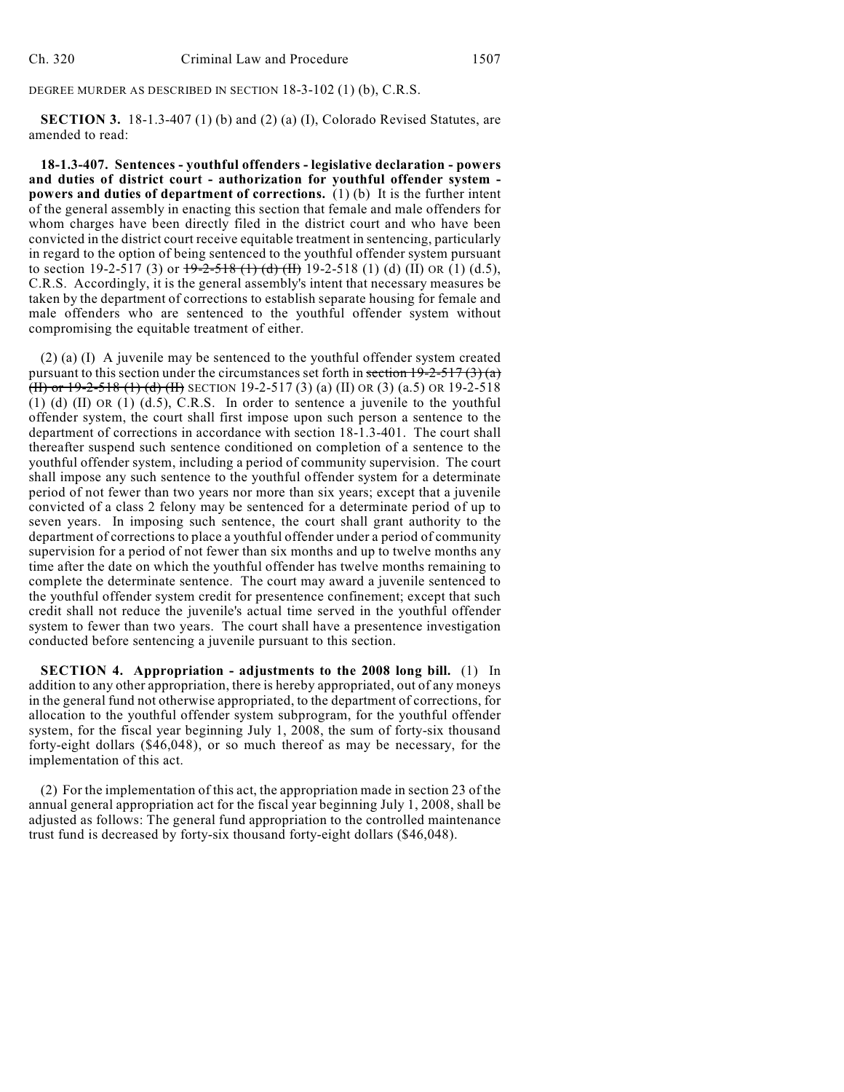DEGREE MURDER AS DESCRIBED IN SECTION 18-3-102 (1) (b), C.R.S.

**SECTION 3.** 18-1.3-407 (1) (b) and (2) (a) (I), Colorado Revised Statutes, are amended to read:

**18-1.3-407. Sentences - youthful offenders - legislative declaration - powers and duties of district court - authorization for youthful offender system powers and duties of department of corrections.** (1) (b) It is the further intent of the general assembly in enacting this section that female and male offenders for whom charges have been directly filed in the district court and who have been convicted in the district court receive equitable treatment in sentencing, particularly in regard to the option of being sentenced to the youthful offender system pursuant to section 19-2-517 (3) or  $\frac{19-2-518(1)(d)(H)}{19-2-518(1)(d)(H)}$  (d) (II) OR (1) (d.5), C.R.S. Accordingly, it is the general assembly's intent that necessary measures be taken by the department of corrections to establish separate housing for female and male offenders who are sentenced to the youthful offender system without compromising the equitable treatment of either.

(2) (a) (I) A juvenile may be sentenced to the youthful offender system created pursuant to this section under the circumstances set forth in section  $19-2-517(3)(a)$ (II) or 19-2-518 (1) (d) (II) SECTION 19-2-517 (3) (a) (II) OR (3) (a.5) OR 19-2-518 (1) (d) (II) OR (1) (d.5), C.R.S. In order to sentence a juvenile to the youthful offender system, the court shall first impose upon such person a sentence to the department of corrections in accordance with section 18-1.3-401. The court shall thereafter suspend such sentence conditioned on completion of a sentence to the youthful offender system, including a period of community supervision. The court shall impose any such sentence to the youthful offender system for a determinate period of not fewer than two years nor more than six years; except that a juvenile convicted of a class 2 felony may be sentenced for a determinate period of up to seven years. In imposing such sentence, the court shall grant authority to the department of corrections to place a youthful offender under a period of community supervision for a period of not fewer than six months and up to twelve months any time after the date on which the youthful offender has twelve months remaining to complete the determinate sentence. The court may award a juvenile sentenced to the youthful offender system credit for presentence confinement; except that such credit shall not reduce the juvenile's actual time served in the youthful offender system to fewer than two years. The court shall have a presentence investigation conducted before sentencing a juvenile pursuant to this section.

**SECTION 4. Appropriation - adjustments to the 2008 long bill.** (1) In addition to any other appropriation, there is hereby appropriated, out of any moneys in the general fund not otherwise appropriated, to the department of corrections, for allocation to the youthful offender system subprogram, for the youthful offender system, for the fiscal year beginning July 1, 2008, the sum of forty-six thousand forty-eight dollars (\$46,048), or so much thereof as may be necessary, for the implementation of this act.

(2) For the implementation of this act, the appropriation made in section 23 of the annual general appropriation act for the fiscal year beginning July 1, 2008, shall be adjusted as follows: The general fund appropriation to the controlled maintenance trust fund is decreased by forty-six thousand forty-eight dollars (\$46,048).